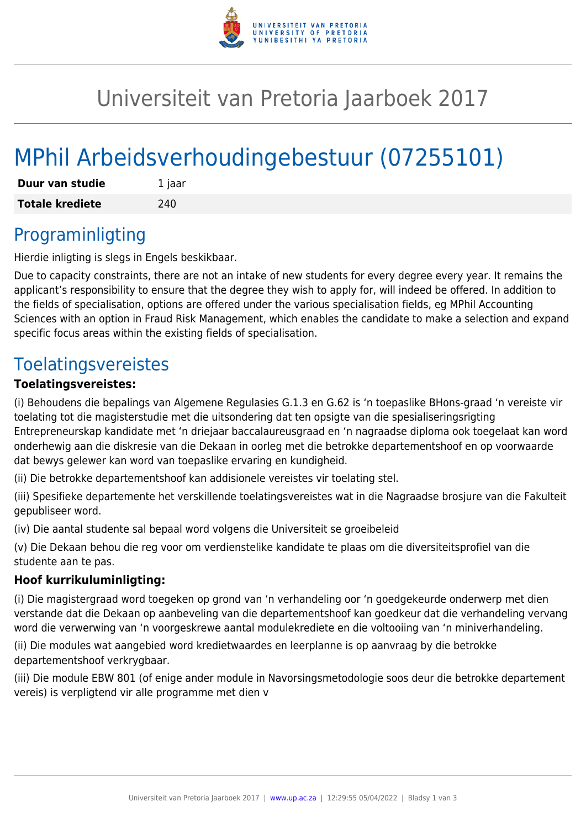

## Universiteit van Pretoria Jaarboek 2017

# MPhil Arbeidsverhoudingebestuur (07255101)

| Duur van studie        | 1 jaar |
|------------------------|--------|
| <b>Totale krediete</b> | 240    |

#### Programinligting

Hierdie inligting is slegs in Engels beskikbaar.

Due to capacity constraints, there are not an intake of new students for every degree every year. It remains the applicant's responsibility to ensure that the degree they wish to apply for, will indeed be offered. In addition to the fields of specialisation, options are offered under the various specialisation fields, eg MPhil Accounting Sciences with an option in Fraud Risk Management, which enables the candidate to make a selection and expand specific focus areas within the existing fields of specialisation.

### Toelatingsvereistes

#### **Toelatingsvereistes:**

(i) Behoudens die bepalings van Algemene Regulasies G.1.3 en G.62 is 'n toepaslike BHons-graad 'n vereiste vir toelating tot die magisterstudie met die uitsondering dat ten opsigte van die spesialiseringsrigting Entrepreneurskap kandidate met 'n driejaar baccalaureusgraad en 'n nagraadse diploma ook toegelaat kan word onderhewig aan die diskresie van die Dekaan in oorleg met die betrokke departementshoof en op voorwaarde dat bewys gelewer kan word van toepaslike ervaring en kundigheid.

(ii) Die betrokke departementshoof kan addisionele vereistes vir toelating stel.

(iii) Spesifieke departemente het verskillende toelatingsvereistes wat in die Nagraadse brosjure van die Fakulteit gepubliseer word.

(iv) Die aantal studente sal bepaal word volgens die Universiteit se groeibeleid

(v) Die Dekaan behou die reg voor om verdienstelike kandidate te plaas om die diversiteitsprofiel van die studente aan te pas.

#### **Hoof kurrikuluminligting:**

(i) Die magistergraad word toegeken op grond van 'n verhandeling oor 'n goedgekeurde onderwerp met dien verstande dat die Dekaan op aanbeveling van die departementshoof kan goedkeur dat die verhandeling vervang word die verwerwing van 'n voorgeskrewe aantal modulekrediete en die voltooiing van 'n miniverhandeling.

(ii) Die modules wat aangebied word kredietwaardes en leerplanne is op aanvraag by die betrokke departementshoof verkrygbaar.

(iii) Die module EBW 801 (of enige ander module in Navorsingsmetodologie soos deur die betrokke departement vereis) is verpligtend vir alle programme met dien v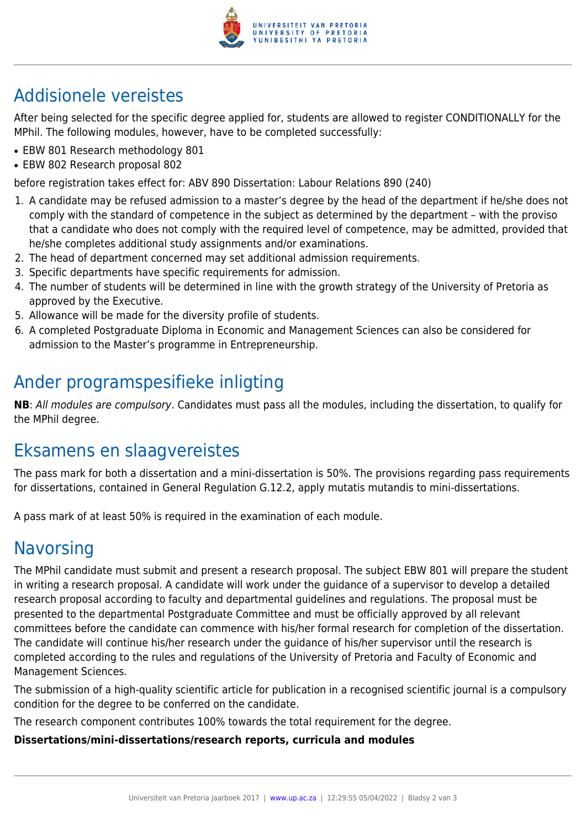

### Addisionele vereistes

After being selected for the specific degree applied for, students are allowed to register CONDITIONALLY for the MPhil. The following modules, however, have to be completed successfully:

- EBW 801 Research methodology 801
- EBW 802 Research proposal 802

before registration takes effect for: ABV 890 Dissertation: Labour Relations 890 (240)

- 1. A candidate may be refused admission to a master's degree by the head of the department if he/she does not comply with the standard of competence in the subject as determined by the department – with the proviso that a candidate who does not comply with the required level of competence, may be admitted, provided that he/she completes additional study assignments and/or examinations.
- 2. The head of department concerned may set additional admission requirements.
- 3. Specific departments have specific requirements for admission.
- 4. The number of students will be determined in line with the growth strategy of the University of Pretoria as approved by the Executive.
- 5. Allowance will be made for the diversity profile of students.
- 6. A completed Postgraduate Diploma in Economic and Management Sciences can also be considered for admission to the Master's programme in Entrepreneurship.

### Ander programspesifieke inligting

**NB**: All modules are compulsory. Candidates must pass all the modules, including the dissertation, to qualify for the MPhil degree.

### Eksamens en slaagvereistes

The pass mark for both a dissertation and a mini-dissertation is 50%. The provisions regarding pass requirements for dissertations, contained in General Regulation G.12.2, apply mutatis mutandis to mini-dissertations.

A pass mark of at least 50% is required in the examination of each module.

### **Navorsing**

The MPhil candidate must submit and present a research proposal. The subject EBW 801 will prepare the student in writing a research proposal. A candidate will work under the guidance of a supervisor to develop a detailed research proposal according to faculty and departmental guidelines and regulations. The proposal must be presented to the departmental Postgraduate Committee and must be officially approved by all relevant committees before the candidate can commence with his/her formal research for completion of the dissertation. The candidate will continue his/her research under the guidance of his/her supervisor until the research is completed according to the rules and regulations of the University of Pretoria and Faculty of Economic and Management Sciences.

The submission of a high-quality scientific article for publication in a recognised scientific journal is a compulsory condition for the degree to be conferred on the candidate.

The research component contributes 100% towards the total requirement for the degree.

#### **Dissertations/mini-dissertations/research reports, curricula and modules**